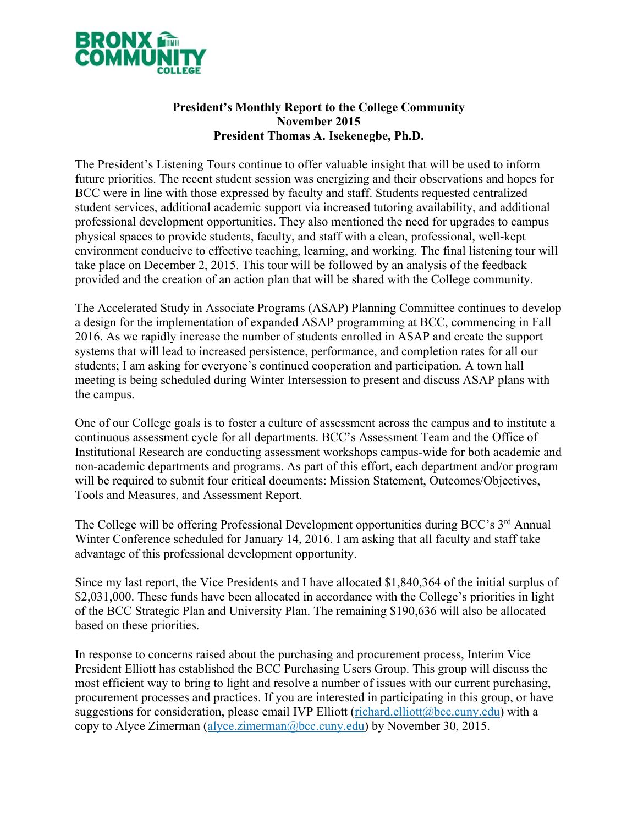

## **President's Monthly Report to the College Community November 2015 President Thomas A. Isekenegbe, Ph.D.**

The President's Listening Tours continue to offer valuable insight that will be used to inform future priorities. The recent student session was energizing and their observations and hopes for BCC were in line with those expressed by faculty and staff. Students requested centralized student services, additional academic support via increased tutoring availability, and additional professional development opportunities. They also mentioned the need for upgrades to campus physical spaces to provide students, faculty, and staff with a clean, professional, well-kept environment conducive to effective teaching, learning, and working. The final listening tour will take place on December 2, 2015. This tour will be followed by an analysis of the feedback provided and the creation of an action plan that will be shared with the College community.

The Accelerated Study in Associate Programs (ASAP) Planning Committee continues to develop a design for the implementation of expanded ASAP programming at BCC, commencing in Fall 2016. As we rapidly increase the number of students enrolled in ASAP and create the support systems that will lead to increased persistence, performance, and completion rates for all our students; I am asking for everyone's continued cooperation and participation. A town hall meeting is being scheduled during Winter Intersession to present and discuss ASAP plans with the campus.

One of our College goals is to foster a culture of assessment across the campus and to institute a continuous assessment cycle for all departments. BCC's Assessment Team and the Office of Institutional Research are conducting assessment workshops campus-wide for both academic and non-academic departments and programs. As part of this effort, each department and/or program will be required to submit four critical documents: Mission Statement, Outcomes/Objectives, Tools and Measures, and Assessment Report.

The College will be offering Professional Development opportunities during BCC's 3<sup>rd</sup> Annual Winter Conference scheduled for January 14, 2016. I am asking that all faculty and staff take advantage of this professional development opportunity.

Since my last report, the Vice Presidents and I have allocated \$1,840,364 of the initial surplus of \$2,031,000. These funds have been allocated in accordance with the College's priorities in light of the BCC Strategic Plan and University Plan. The remaining \$190,636 will also be allocated based on these priorities.

In response to concerns raised about the purchasing and procurement process, Interim Vice President Elliott has established the BCC Purchasing Users Group. This group will discuss the most efficient way to bring to light and resolve a number of issues with our current purchasing, procurement processes and practices. If you are interested in participating in this group, or have suggestions for consideration, please email IVP Elliott (richard.elliott@bcc.cuny.edu) with a copy to Alyce Zimerman (alyce.zimerman@bcc.cuny.edu) by November 30, 2015.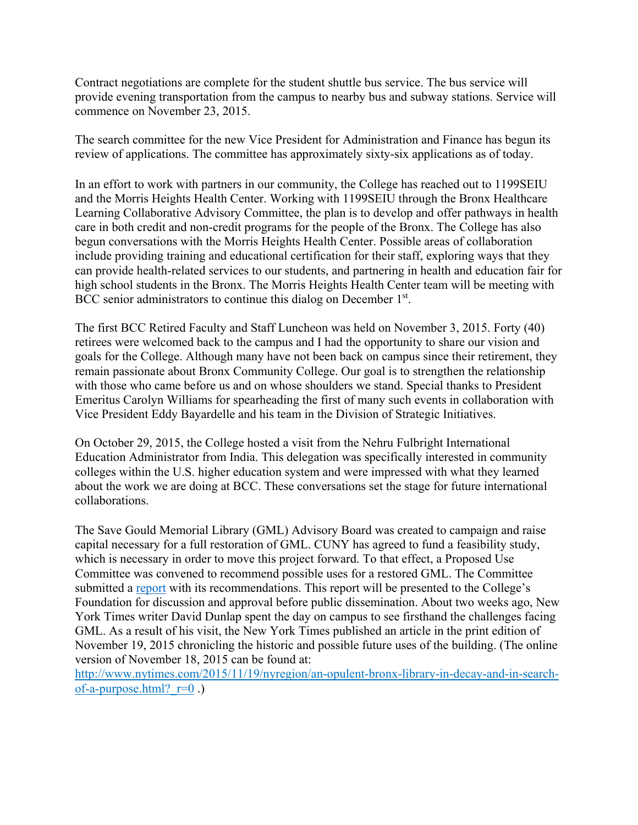Contract negotiations are complete for the student shuttle bus service. The bus service will provide evening transportation from the campus to nearby bus and subway stations. Service will commence on November 23, 2015.

The search committee for the new Vice President for Administration and Finance has begun its review of applications. The committee has approximately sixty-six applications as of today.

In an effort to work with partners in our community, the College has reached out to 1199SEIU and the Morris Heights Health Center. Working with 1199SEIU through the Bronx Healthcare Learning Collaborative Advisory Committee, the plan is to develop and offer pathways in health care in both credit and non-credit programs for the people of the Bronx. The College has also begun conversations with the Morris Heights Health Center. Possible areas of collaboration include providing training and educational certification for their staff, exploring ways that they can provide health-related services to our students, and partnering in health and education fair for high school students in the Bronx. The Morris Heights Health Center team will be meeting with BCC senior administrators to continue this dialog on December 1<sup>st</sup>.

The first BCC Retired Faculty and Staff Luncheon was held on November 3, 2015. Forty (40) retirees were welcomed back to the campus and I had the opportunity to share our vision and goals for the College. Although many have not been back on campus since their retirement, they remain passionate about Bronx Community College. Our goal is to strengthen the relationship with those who came before us and on whose shoulders we stand. Special thanks to President Emeritus Carolyn Williams for spearheading the first of many such events in collaboration with Vice President Eddy Bayardelle and his team in the Division of Strategic Initiatives.

On October 29, 2015, the College hosted a visit from the Nehru Fulbright International Education Administrator from India. This delegation was specifically interested in community colleges within the U.S. higher education system and were impressed with what they learned about the work we are doing at BCC. These conversations set the stage for future international collaborations.

The Save Gould Memorial Library (GML) Advisory Board was created to campaign and raise capital necessary for a full restoration of GML. CUNY has agreed to fund a feasibility study, which is necessary in order to move this project forward. To that effect, a Proposed Use Committee was convened to recommend possible uses for a restored GML. The Committee submitted a [report](http://www.bcc.cuny.edu/broadcasts/2015/11/GML_Proposed_Use_Committee_Recommendations_11-19-2015.pdf) with its recommendations. This report will be presented to the College's Foundation for discussion and approval before public dissemination. About two weeks ago, New York Times writer David Dunlap spent the day on campus to see firsthand the challenges facing GML. As a result of his visit, the New York Times published an article in the print edition of November 19, 2015 chronicling the historic and possible future uses of the building. (The online version of November 18, 2015 can be found at:

http://www.nytimes.com/2015/11/19/nyregion/an-opulent-bronx-library-in-decay-and-in-searchof-a-purpose.html? $r=0$ .)